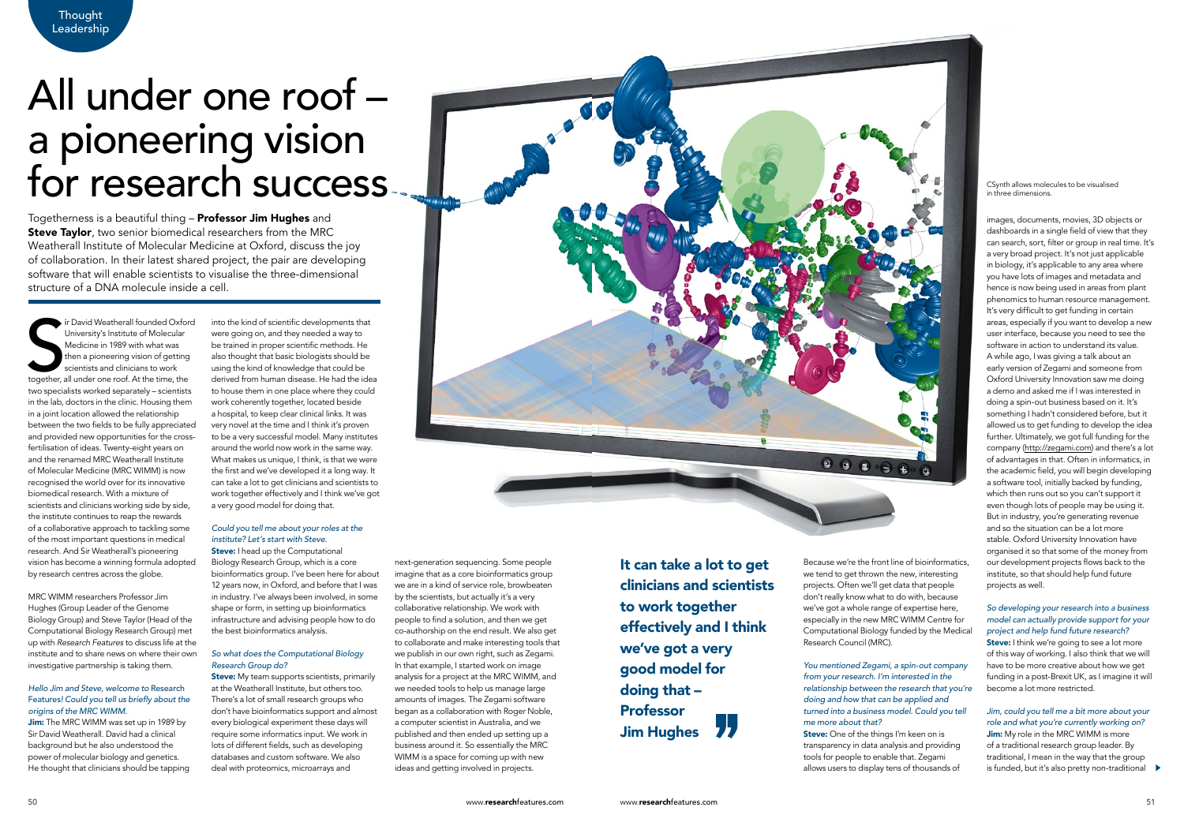Thought **Leadership** 

> It can take a lot to get clinicians and scientists to work together effectively and I think we've got a very good model for doing that – Professor Jim Hughes

Togetherness is a beautiful thing – Professor Jim Hughes and **Steve Taylor**, two senior biomedical researchers from the MRC Weatherall Institute of Molecular Medicine at Oxford, discuss the joy of collaboration. In their latest shared project, the pair are developing software that will enable scientists to visualise the three-dimensional structure of a DNA molecule inside a cell.

# All under one roof – a pioneering vision for research success

Ir David Weatherall founded Oxfor<br>
University's Institute of Molecular<br>
Medicine in 1989 with what was<br>
then a pioneering vision of getting<br>
scientists and clinicians to work<br>
together, all under one roof. At the time, the ir David Weatherall founded Oxford University's Institute of Molecular Medicine in 1989 with what was then a pioneering vision of getting scientists and clinicians to work two specialists worked separately – scientists in the lab, doctors in the clinic. Housing them in a joint location allowed the relationship between the two fields to be fully appreciated and provided new opportunities for the crossfertilisation of ideas. Twenty-eight years on and the renamed MRC Weatherall Institute of Molecular Medicine (MRC WIMM) is now recognised the world over for its innovative biomedical research. With a mixture of scientists and clinicians working side by side, the institute continues to reap the rewards of a collaborative approach to tackling some of the most important questions in medical research. And Sir Weatherall's pioneering vision has become a winning formula adopted by research centres across the globe.

Jim: The MRC WIMM was set up in 1989 by Sir David Weatherall. David had a clinical background but he also understood the power of molecular biology and genetics. He thought that clinicians should be tapping

## Could you tell me about your roles at the institute? Let's start with Steve. **Steve:** I head up the Computational

MRC WIMM researchers Professor Jim Hughes (Group Leader of the Genome Biology Group) and Steve Taylor (Head of the Computational Biology Research Group) met up with *Research Features* to discuss life at the institute and to share news on where their own investigative partnership is taking them.

> **Steve:** My team supports scientists, primarily at the Weatherall Institute, but others too. There's a lot of small research groups who don't have bioinformatics support and almost every biological experiment these days will require some informatics input. We work in lots of different fields, such as developing databases and custom software. We also deal with proteomics, microarrays and

## *Hello Jim and Steve, welcome to* Research Features! Could you tell us briefly about the origins of the MRC WIMM.

into the kind of scientific developments that were going on, and they needed a way to be trained in proper scientific methods. He also thought that basic biologists should be using the kind of knowledge that could be derived from human disease. He had the idea to house them in one place where they could work coherently together, located beside a hospital, to keep clear clinical links. It was very novel at the time and I think it's proven to be a very successful model. Many institutes around the world now work in the same way. What makes us unique, I think, is that we were the first and we've developed it a long way. It can take a lot to get clinicians and scientists to work together effectively and I think we've got a very good model for doing that.

> **Steve:** I think we're going to see a lot more of this way of working. I also think that we will have to be more creative about how we get funding in a post-Brexit UK, as I imagine it will become a lot more restricted.

Jim: My role in the MRC WIMM is more of a traditional research group leader. By traditional, I mean in the way that the group is funded, but it's also pretty non-traditional

Biology Research Group, which is a core bioinformatics group. I've been here for about 12 years now, in Oxford, and before that I was in industry. I've always been involved, in some shape or form, in setting up bioinformatics infrastructure and advising people how to do the best bioinformatics analysis.

# So what does the Computational Biology Research Group do?

images, documents, movies, 3D objects or dashboards in a single field of view that they can search, sort, filter or group in real time. It's a very broad project. It's not just applicable in biology, it's applicable to any area where you have lots of images and metadata and hence is now being used in areas from plant phenomics to human resource management. It's very difficult to get funding in certain areas, especially if you want to develop a new user interface, because you need to see the software in action to understand its value. A while ago, I was giving a talk about an early version of Zegami and someone from Oxford University Innovation saw me doing a demo and asked me if I was interested in doing a spin-out business based on it. It's something I hadn't considered before, but it allowed us to get funding to develop the idea further. Ultimately, we got full funding for the company [\(http://zegami.com](http://zegami.com)) and there's a lot of advantages in that. Often in informatics, in the academic field, you will begin developing a software tool, initially backed by funding, which then runs out so you can't support it even though lots of people may be using it. But in industry, you're generating revenue and so the situation can be a lot more stable. Oxford University Innovation have organised it so that some of the money from our development projects flows back to the institute, so that should help fund future projects as well.

# So developing your research into a business model can actually provide support for your project and help fund future research?

# *Jim, could you tell me a bit more about your*  role and what you're currently working on?

next-generation sequencing. Some people imagine that as a core bioinformatics group we are in a kind of service role, browbeaten by the scientists, but actually it's a very collaborative relationship. We work with people to find a solution, and then we get co-authorship on the end result. We also get to collaborate and make interesting tools that we publish in our own right, such as Zegami. In that example, I started work on image analysis for a project at the MRC WIMM, and we needed tools to help us manage large amounts of images. The Zegami software began as a collaboration with Roger Noble, a computer scientist in Australia, and we published and then ended up setting up a business around it. So essentially the MRC WIMM is a space for coming up with new ideas and getting involved in projects.

Because we're the front line of bioinformatics, we tend to get thrown the new, interesting projects. Often we'll get data that people don't really know what to do with, because we've got a whole range of expertise here, especially in the new MRC WIMM Centre for Computational Biology funded by the Medical Research Council (MRC).

You mentioned Zegami, a spin-out company from your research. I'm interested in the relationship between the research that you're doing and how that can be applied and turned into a business model. Could you tell me more about that? Steve: One of the things I'm keen on is transparency in data analysis and providing tools for people to enable that. Zegami allows users to display tens of thousands of



CSynth allows molecules to be visualised in three dimensions.